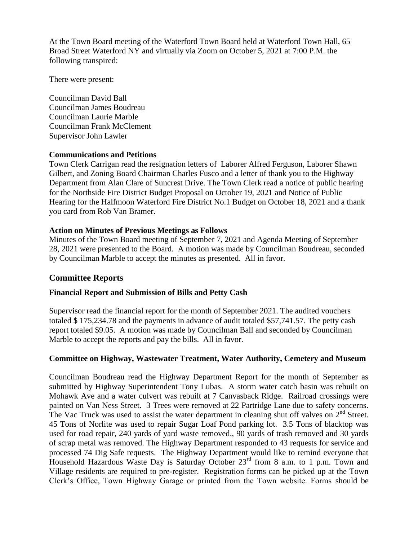At the Town Board meeting of the Waterford Town Board held at Waterford Town Hall, 65 Broad Street Waterford NY and virtually via Zoom on October 5, 2021 at 7:00 P.M. the following transpired:

There were present:

Councilman David Ball Councilman James Boudreau Councilman Laurie Marble Councilman Frank McClement Supervisor John Lawler

### **Communications and Petitions**

Town Clerk Carrigan read the resignation letters of Laborer Alfred Ferguson, Laborer Shawn Gilbert, and Zoning Board Chairman Charles Fusco and a letter of thank you to the Highway Department from Alan Clare of Suncrest Drive. The Town Clerk read a notice of public hearing for the Northside Fire District Budget Proposal on October 19, 2021 and Notice of Public Hearing for the Halfmoon Waterford Fire District No.1 Budget on October 18, 2021 and a thank you card from Rob Van Bramer.

## **Action on Minutes of Previous Meetings as Follows**

Minutes of the Town Board meeting of September 7, 2021 and Agenda Meeting of September 28, 2021 were presented to the Board. A motion was made by Councilman Boudreau, seconded by Councilman Marble to accept the minutes as presented. All in favor.

## **Committee Reports**

## **Financial Report and Submission of Bills and Petty Cash**

Supervisor read the financial report for the month of September 2021. The audited vouchers totaled \$ 175,234.78 and the payments in advance of audit totaled \$57,741.57. The petty cash report totaled \$9.05. A motion was made by Councilman Ball and seconded by Councilman Marble to accept the reports and pay the bills. All in favor.

## **Committee on Highway, Wastewater Treatment, Water Authority, Cemetery and Museum**

Councilman Boudreau read the Highway Department Report for the month of September as submitted by Highway Superintendent Tony Lubas. A storm water catch basin was rebuilt on Mohawk Ave and a water culvert was rebuilt at 7 Canvasback Ridge. Railroad crossings were painted on Van Ness Street. 3 Trees were removed at 22 Partridge Lane due to safety concerns. The Vac Truck was used to assist the water department in cleaning shut off valves on  $2<sup>nd</sup>$  Street. 45 Tons of Norlite was used to repair Sugar Loaf Pond parking lot. 3.5 Tons of blacktop was used for road repair, 240 yards of yard waste removed., 90 yards of trash removed and 30 yards of scrap metal was removed. The Highway Department responded to 43 requests for service and processed 74 Dig Safe requests. The Highway Department would like to remind everyone that Household Hazardous Waste Day is Saturday October 23rd from 8 a.m. to 1 p.m. Town and Village residents are required to pre-register. Registration forms can be picked up at the Town Clerk's Office, Town Highway Garage or printed from the Town website. Forms should be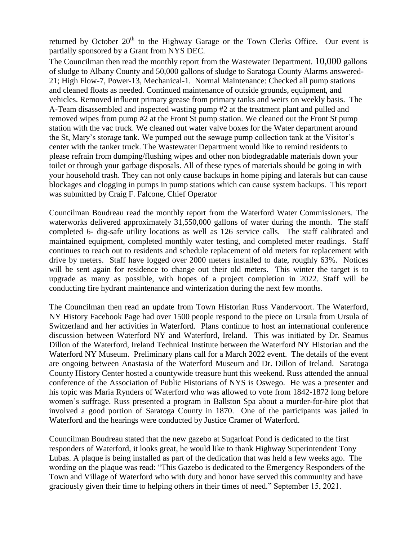returned by October  $20<sup>th</sup>$  to the Highway Garage or the Town Clerks Office. Our event is partially sponsored by a Grant from NYS DEC.

The Councilman then read the monthly report from the Wastewater Department. 10,000 gallons of sludge to Albany County and 50,000 gallons of sludge to Saratoga County Alarms answered-21; High Flow-7, Power-13, Mechanical-1. Normal Maintenance: Checked all pump stations and cleaned floats as needed. Continued maintenance of outside grounds, equipment, and vehicles. Removed influent primary grease from primary tanks and weirs on weekly basis. The A-Team disassembled and inspected wasting pump #2 at the treatment plant and pulled and removed wipes from pump #2 at the Front St pump station. We cleaned out the Front St pump station with the vac truck. We cleaned out water valve boxes for the Water department around the St, Mary's storage tank. We pumped out the sewage pump collection tank at the Visitor's center with the tanker truck. The Wastewater Department would like to remind residents to please refrain from dumping/flushing wipes and other non biodegradable materials down your toilet or through your garbage disposals. All of these types of materials should be going in with your household trash. They can not only cause backups in home piping and laterals but can cause blockages and clogging in pumps in pump stations which can cause system backups. This report was submitted by Craig F. Falcone, Chief Operator

Councilman Boudreau read the monthly report from the Waterford Water Commissioners. The waterworks delivered approximately 31,550,000 gallons of water during the month. The staff completed 6- dig-safe utility locations as well as 126 service calls. The staff calibrated and maintained equipment, completed monthly water testing, and completed meter readings. Staff continues to reach out to residents and schedule replacement of old meters for replacement with drive by meters. Staff have logged over 2000 meters installed to date, roughly 63%. Notices will be sent again for residence to change out their old meters. This winter the target is to upgrade as many as possible, with hopes of a project completion in 2022. Staff will be conducting fire hydrant maintenance and winterization during the next few months.

The Councilman then read an update from Town Historian Russ Vandervoort. The Waterford, NY History Facebook Page had over 1500 people respond to the piece on Ursula from Ursula of Switzerland and her activities in Waterford. Plans continue to host an international conference discussion between Waterford NY and Waterford, Ireland. This was initiated by Dr. Seamus Dillon of the Waterford, Ireland Technical Institute between the Waterford NY Historian and the Waterford NY Museum. Preliminary plans call for a March 2022 event. The details of the event are ongoing between Anastasia of the Waterford Museum and Dr. Dillon of Ireland. Saratoga County History Center hosted a countywide treasure hunt this weekend. Russ attended the annual conference of the Association of Public Historians of NYS is Oswego. He was a presenter and his topic was Maria Rynders of Waterford who was allowed to vote from 1842-1872 long before women's suffrage. Russ presented a program in Ballston Spa about a murder-for-hire plot that involved a good portion of Saratoga County in 1870. One of the participants was jailed in Waterford and the hearings were conducted by Justice Cramer of Waterford.

Councilman Boudreau stated that the new gazebo at Sugarloaf Pond is dedicated to the first responders of Waterford, it looks great, he would like to thank Highway Superintendent Tony Lubas. A plaque is being installed as part of the dedication that was held a few weeks ago. The wording on the plaque was read: "This Gazebo is dedicated to the Emergency Responders of the Town and Village of Waterford who with duty and honor have served this community and have graciously given their time to helping others in their times of need." September 15, 2021.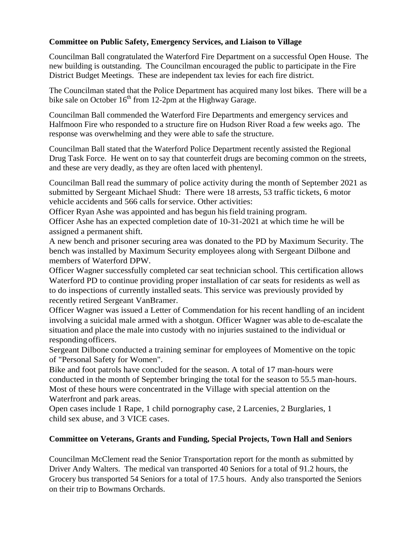## **Committee on Public Safety, Emergency Services, and Liaison to Village**

Councilman Ball congratulated the Waterford Fire Department on a successful Open House. The new building is outstanding. The Councilman encouraged the public to participate in the Fire District Budget Meetings. These are independent tax levies for each fire district.

The Councilman stated that the Police Department has acquired many lost bikes. There will be a bike sale on October  $16<sup>th</sup>$  from 12-2pm at the Highway Garage.

Councilman Ball commended the Waterford Fire Departments and emergency services and Halfmoon Fire who responded to a structure fire on Hudson River Road a few weeks ago. The response was overwhelming and they were able to safe the structure.

Councilman Ball stated that the Waterford Police Department recently assisted the Regional Drug Task Force. He went on to say that counterfeit drugs are becoming common on the streets, and these are very deadly, as they are often laced with phentenyl.

Councilman Ball read the summary of police activity during the month of September 2021 as submitted by Sergeant Michael Shudt: There were 18 arrests, 53 traffic tickets, 6 motor vehicle accidents and 566 calls forservice. Other activities:

Officer Ryan Ashe was appointed and has begun hisfield training program.

Officer Ashe has an expected completion date of 10-31-2021 at which time he will be assigned a permanent shift.

A new bench and prisoner securing area was donated to the PD by Maximum Security. The bench was installed by Maximum Security employees along with Sergeant Dilbone and members of Waterford DPW.

Officer Wagner successfully completed car seat technician school. This certification allows Waterford PD to continue providing proper installation of car seats for residents as well as to do inspections of currently installed seats. This service was previously provided by recently retired Sergeant VanBramer.

Officer Wagner was issued a Letter of Commendation for his recent handling of an incident involving a suicidal male armed with a shotgun. Officer Wagner was able to de-escalate the situation and place the male into custody with no injuries sustained to the individual or respondingofficers.

Sergeant Dilbone conducted a training seminar for employees of Momentive on the topic of "Personal Safety for Women".

Bike and foot patrols have concluded for the season. A total of 17 man-hours were conducted in the month of September bringing the total for the season to 55.5 man-hours. Most of these hours were concentrated in the Village with special attention on the Waterfront and park areas.

Open cases include 1 Rape, 1 child pornography case, 2 Larcenies, 2 Burglaries, 1 child sex abuse, and 3 VICE cases.

# **Committee on Veterans, Grants and Funding, Special Projects, Town Hall and Seniors**

Councilman McClement read the Senior Transportation report for the month as submitted by Driver Andy Walters. The medical van transported 40 Seniors for a total of 91.2 hours, the Grocery bus transported 54 Seniors for a total of 17.5 hours. Andy also transported the Seniors on their trip to Bowmans Orchards.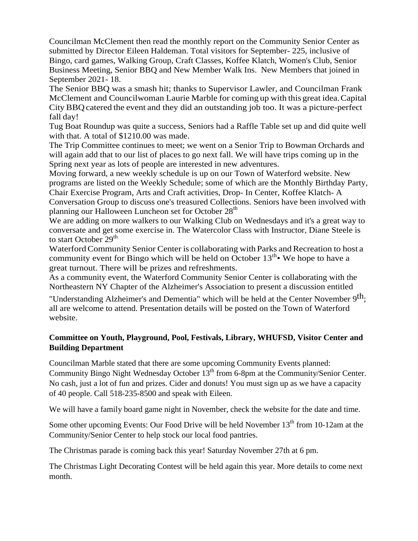Councilman McClement then read the monthly report on the Community Senior Center as submitted by Director Eileen Haldeman. Total visitors for September- 225, inclusive of Bingo, card games, Walking Group, Craft Classes, Koffee Klatch, Women's Club, Senior Business Meeting, Senior BBQ and New Member Walk Ins. New Members that joined in September 2021- 18.

The Senior BBQ was a smash hit; thanks to Supervisor Lawler, and Councilman Frank McClement and Councilwoman Laurie Marble for coming up with this great idea.Capital City BBQcatered the event and they did an outstanding job too. It was a picture-perfect fall day!

Tug Boat Roundup was quite a success, Seniors had a Raffle Table set up and did quite well with that. A total of \$1210.00 was made.

The Trip Committee continues to meet; we went on a Senior Trip to Bowman Orchards and will again add that to our list of places to go next fall. We will have trips coming up in the Spring next year as lots of people are interested in new adventures.

Moving forward, a new weekly schedule is up on our Town of Waterford website. New programs are listed on the Weekly Schedule; some of which are the Monthly Birthday Party, Chair Exercise Program, Arts and Craft activities, Drop- In Center, Koffee Klatch- A Conversation Group to discuss one's treasured Collections. Seniors have been involved with planning our Halloween Luncheon set for October 28<sup>th</sup>

We are adding on more walkers to our Walking Club on Wednesdays and it's a great way to conversate and get some exercise in. The Watercolor Class with Instructor, Diane Steele is to start October  $29<sup>th</sup>$ 

Waterford Community Senior Center is collaborating with Parks and Recreation to host a community event for Bingo which will be held on October  $13^{th}$  We hope to have a great turnout. There will be prizes and refreshments.

As a community event, the Waterford Community Senior Center is collaborating with the Northeastern NY Chapter of the Alzheimer's Association to present a discussion entitled

"Understanding Alzheimer's and Dementia" which will be held at the Center November 9<sup>th</sup>; all are welcome to attend. Presentation details will be posted on the Town of Waterford website.

## **Committee on Youth, Playground, Pool, Festivals, Library, WHUFSD, Visitor Center and Building Department**

Councilman Marble stated that there are some upcoming Community Events planned: Community Bingo Night Wednesday October 13<sup>th</sup> from 6-8pm at the Community/Senior Center. No cash, just a lot of fun and prizes. Cider and donuts! You must sign up as we have a capacity of 40 people. Call 518-235-8500 and speak with Eileen.

We will have a family board game night in November, check the website for the date and time.

Some other upcoming Events: Our Food Drive will be held November  $13<sup>th</sup>$  from 10-12am at the Community/Senior Center to help stock our local food pantries.

The Christmas parade is coming back this year! Saturday November 27th at 6 pm.

The Christmas Light Decorating Contest will be held again this year. More details to come next month.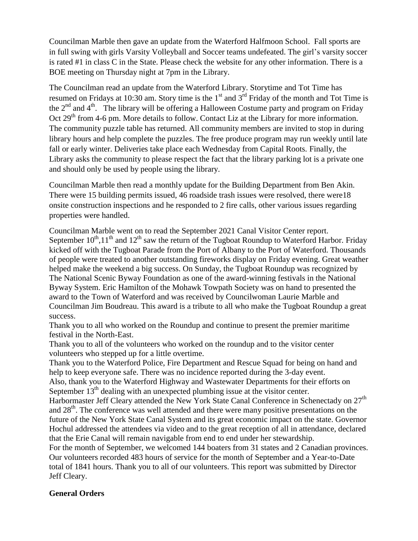Councilman Marble then gave an update from the Waterford Halfmoon School. Fall sports are in full swing with girls Varsity Volleyball and Soccer teams undefeated. The girl's varsity soccer is rated #1 in class C in the State. Please check the website for any other information. There is a BOE meeting on Thursday night at 7pm in the Library.

The Councilman read an update from the Waterford Library. Storytime and Tot Time has resumed on Fridays at 10:30 am. Story time is the  $1<sup>st</sup>$  and  $3<sup>rd</sup>$  Friday of the month and Tot Time is the  $2<sup>nd</sup>$  and  $4<sup>th</sup>$ . The library will be offering a Halloween Costume party and program on Friday Oct 29<sup>th</sup> from 4-6 pm. More details to follow. Contact Liz at the Library for more information. The community puzzle table has returned. All community members are invited to stop in during library hours and help complete the puzzles. The free produce program may run weekly until late fall or early winter. Deliveries take place each Wednesday from Capital Roots. Finally, the Library asks the community to please respect the fact that the library parking lot is a private one and should only be used by people using the library.

Councilman Marble then read a monthly update for the Building Department from Ben Akin. There were 15 building permits issued, 46 roadside trash issues were resolved, there were18 onsite construction inspections and he responded to 2 fire calls, other various issues regarding properties were handled.

Councilman Marble went on to read the September 2021 Canal Visitor Center report. September  $10^{th}$ ,  $11^{th}$  and  $12^{th}$  saw the return of the Tugboat Roundup to Waterford Harbor. Friday kicked off with the Tugboat Parade from the Port of Albany to the Port of Waterford. Thousands of people were treated to another outstanding fireworks display on Friday evening. Great weather helped make the weekend a big success. On Sunday, the Tugboat Roundup was recognized by The National Scenic Byway Foundation as one of the award-winning festivals in the National Byway System. Eric Hamilton of the Mohawk Towpath Society was on hand to presented the award to the Town of Waterford and was received by Councilwoman Laurie Marble and Councilman Jim Boudreau. This award is a tribute to all who make the Tugboat Roundup a great success.

Thank you to all who worked on the Roundup and continue to present the premier maritime festival in the North-East.

Thank you to all of the volunteers who worked on the roundup and to the visitor center volunteers who stepped up for a little overtime.

Thank you to the Waterford Police, Fire Department and Rescue Squad for being on hand and help to keep everyone safe. There was no incidence reported during the 3-day event.

Also, thank you to the Waterford Highway and Wastewater Departments for their efforts on September  $13<sup>th</sup>$  dealing with an unexpected plumbing issue at the visitor center.

Harbormaster Jeff Cleary attended the New York State Canal Conference in Schenectady on 27<sup>th</sup> and 28<sup>th</sup>. The conference was well attended and there were many positive presentations on the future of the New York State Canal System and its great economic impact on the state. Governor Hochul addressed the attendees via video and to the great reception of all in attendance, declared that the Erie Canal will remain navigable from end to end under her stewardship.

For the month of September, we welcomed 144 boaters from 31 states and 2 Canadian provinces. Our volunteers recorded 483 hours of service for the month of September and a Year-to-Date total of 1841 hours. Thank you to all of our volunteers. This report was submitted by Director Jeff Cleary.

## **General Orders**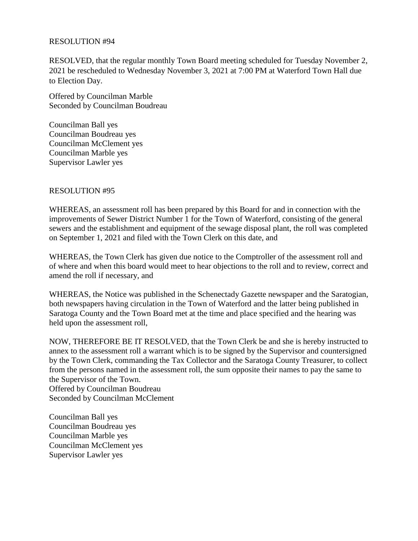#### RESOLUTION #94

RESOLVED, that the regular monthly Town Board meeting scheduled for Tuesday November 2, 2021 be rescheduled to Wednesday November 3, 2021 at 7:00 PM at Waterford Town Hall due to Election Day.

Offered by Councilman Marble Seconded by Councilman Boudreau

Councilman Ball yes Councilman Boudreau yes Councilman McClement yes Councilman Marble yes Supervisor Lawler yes

### RESOLUTION #95

WHEREAS, an assessment roll has been prepared by this Board for and in connection with the improvements of Sewer District Number 1 for the Town of Waterford, consisting of the general sewers and the establishment and equipment of the sewage disposal plant, the roll was completed on September 1, 2021 and filed with the Town Clerk on this date, and

WHEREAS, the Town Clerk has given due notice to the Comptroller of the assessment roll and of where and when this board would meet to hear objections to the roll and to review, correct and amend the roll if necessary, and

WHEREAS, the Notice was published in the Schenectady Gazette newspaper and the Saratogian, both newspapers having circulation in the Town of Waterford and the latter being published in Saratoga County and the Town Board met at the time and place specified and the hearing was held upon the assessment roll,

NOW, THEREFORE BE IT RESOLVED, that the Town Clerk be and she is hereby instructed to annex to the assessment roll a warrant which is to be signed by the Supervisor and countersigned by the Town Clerk, commanding the Tax Collector and the Saratoga County Treasurer, to collect from the persons named in the assessment roll, the sum opposite their names to pay the same to the Supervisor of the Town. Offered by Councilman Boudreau Seconded by Councilman McClement

Councilman Ball yes Councilman Boudreau yes Councilman Marble yes Councilman McClement yes Supervisor Lawler yes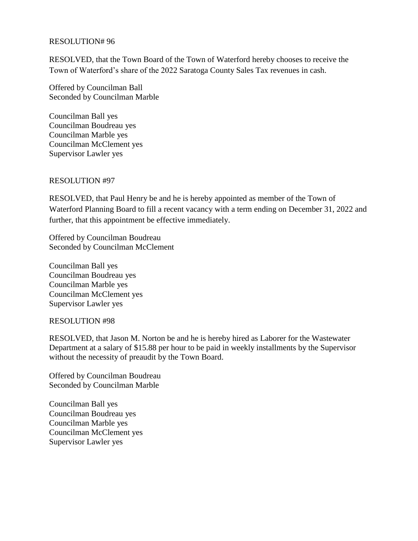#### RESOLUTION# 96

RESOLVED, that the Town Board of the Town of Waterford hereby chooses to receive the Town of Waterford's share of the 2022 Saratoga County Sales Tax revenues in cash.

Offered by Councilman Ball Seconded by Councilman Marble

Councilman Ball yes Councilman Boudreau yes Councilman Marble yes Councilman McClement yes Supervisor Lawler yes

#### RESOLUTION #97

RESOLVED, that Paul Henry be and he is hereby appointed as member of the Town of Waterford Planning Board to fill a recent vacancy with a term ending on December 31, 2022 and further, that this appointment be effective immediately.

Offered by Councilman Boudreau Seconded by Councilman McClement

Councilman Ball yes Councilman Boudreau yes Councilman Marble yes Councilman McClement yes Supervisor Lawler yes

#### RESOLUTION #98

RESOLVED, that Jason M. Norton be and he is hereby hired as Laborer for the Wastewater Department at a salary of \$15.88 per hour to be paid in weekly installments by the Supervisor without the necessity of preaudit by the Town Board.

Offered by Councilman Boudreau Seconded by Councilman Marble

Councilman Ball yes Councilman Boudreau yes Councilman Marble yes Councilman McClement yes Supervisor Lawler yes